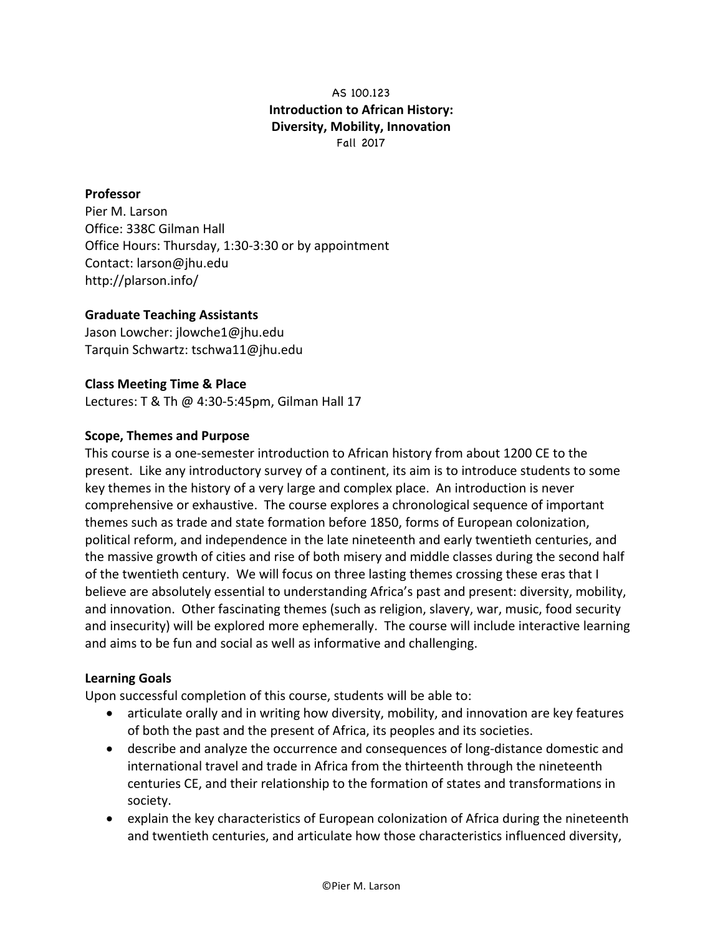# AS 100.123 **Introduction to African History: Diversity, Mobility, Innovation** Fall 2017

#### **Professor**

Pier M. Larson Office: 338C Gilman Hall Office Hours: Thursday, 1:30-3:30 or by appointment Contact: larson@jhu.edu http://plarson.info/

#### **Graduate Teaching Assistants**

Jason Lowcher: jlowche1@jhu.edu Tarquin Schwartz: tschwa11@jhu.edu

#### **Class Meeting Time & Place**

Lectures: T & Th @ 4:30-5:45pm, Gilman Hall 17

#### **Scope, Themes and Purpose**

This course is a one-semester introduction to African history from about 1200 CE to the present. Like any introductory survey of a continent, its aim is to introduce students to some key themes in the history of a very large and complex place. An introduction is never comprehensive or exhaustive. The course explores a chronological sequence of important themes such as trade and state formation before 1850, forms of European colonization, political reform, and independence in the late nineteenth and early twentieth centuries, and the massive growth of cities and rise of both misery and middle classes during the second half of the twentieth century. We will focus on three lasting themes crossing these eras that I believe are absolutely essential to understanding Africa's past and present: diversity, mobility, and innovation. Other fascinating themes (such as religion, slavery, war, music, food security and insecurity) will be explored more ephemerally. The course will include interactive learning and aims to be fun and social as well as informative and challenging.

#### **Learning Goals**

Upon successful completion of this course, students will be able to:

- articulate orally and in writing how diversity, mobility, and innovation are key features of both the past and the present of Africa, its peoples and its societies.
- describe and analyze the occurrence and consequences of long-distance domestic and international travel and trade in Africa from the thirteenth through the nineteenth centuries CE, and their relationship to the formation of states and transformations in society.
- explain the key characteristics of European colonization of Africa during the nineteenth and twentieth centuries, and articulate how those characteristics influenced diversity,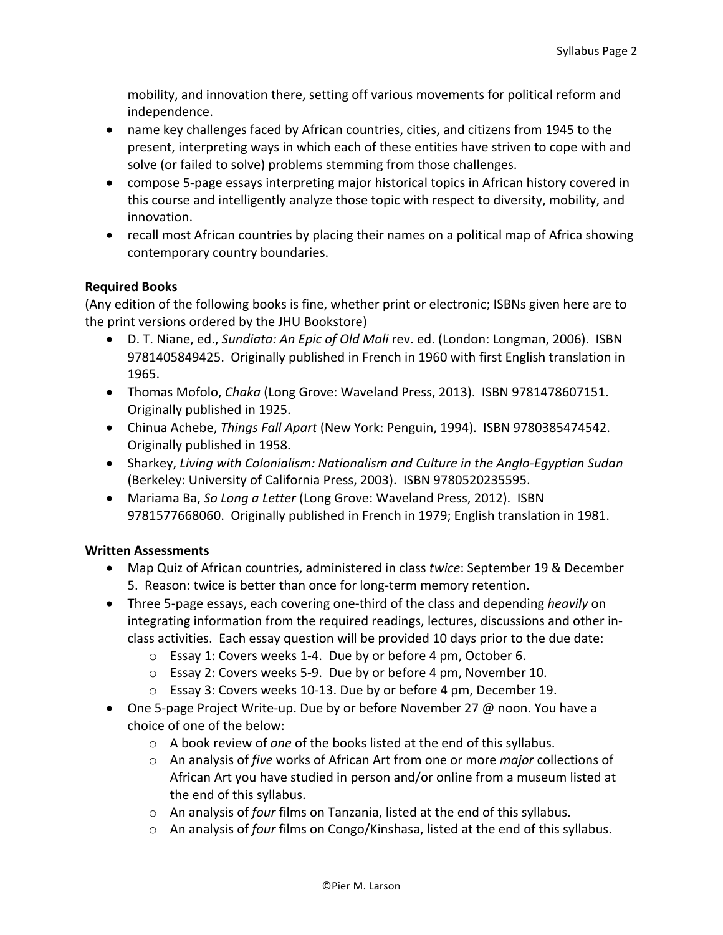mobility, and innovation there, setting off various movements for political reform and independence.

- name key challenges faced by African countries, cities, and citizens from 1945 to the present, interpreting ways in which each of these entities have striven to cope with and solve (or failed to solve) problems stemming from those challenges.
- compose 5-page essays interpreting major historical topics in African history covered in this course and intelligently analyze those topic with respect to diversity, mobility, and innovation.
- recall most African countries by placing their names on a political map of Africa showing contemporary country boundaries.

#### **Required Books**

(Any edition of the following books is fine, whether print or electronic; ISBNs given here are to the print versions ordered by the JHU Bookstore)

- D. T. Niane, ed., *Sundiata: An Epic of Old Mali* rev. ed. (London: Longman, 2006). ISBN 9781405849425. Originally published in French in 1960 with first English translation in 1965.
- Thomas Mofolo, *Chaka* (Long Grove: Waveland Press, 2013). ISBN 9781478607151. Originally published in 1925.
- Chinua Achebe, *Things Fall Apart* (New York: Penguin, 1994). ISBN 9780385474542. Originally published in 1958.
- Sharkey, *Living with Colonialism: Nationalism and Culture in the Anglo-Egyptian Sudan* (Berkeley: University of California Press, 2003). ISBN 9780520235595.
- Mariama Ba, So Long a Letter (Long Grove: Waveland Press, 2012). ISBN 9781577668060. Originally published in French in 1979; English translation in 1981.

#### **Written Assessments**

- Map Quiz of African countries, administered in class *twice*: September 19 & December 5. Reason: twice is better than once for long-term memory retention.
- Three 5-page essays, each covering one-third of the class and depending *heavily* on integrating information from the required readings, lectures, discussions and other inclass activities. Each essay question will be provided 10 days prior to the due date:
	- $\circ$  Essay 1: Covers weeks 1-4. Due by or before 4 pm, October 6.
	- $\circ$  Essay 2: Covers weeks 5-9. Due by or before 4 pm, November 10.
	- $\circ$  Essay 3: Covers weeks 10-13. Due by or before 4 pm, December 19.
- One 5-page Project Write-up. Due by or before November 27  $\omega$  noon. You have a choice of one of the below:
	- o A book review of *one* of the books listed at the end of this syllabus.
	- $\circ$  An analysis of *five* works of African Art from one or more *major* collections of African Art you have studied in person and/or online from a museum listed at the end of this syllabus.
	- o An analysis of *four* films on Tanzania, listed at the end of this syllabus.
	- $\circ$  An analysis of *four* films on Congo/Kinshasa, listed at the end of this syllabus.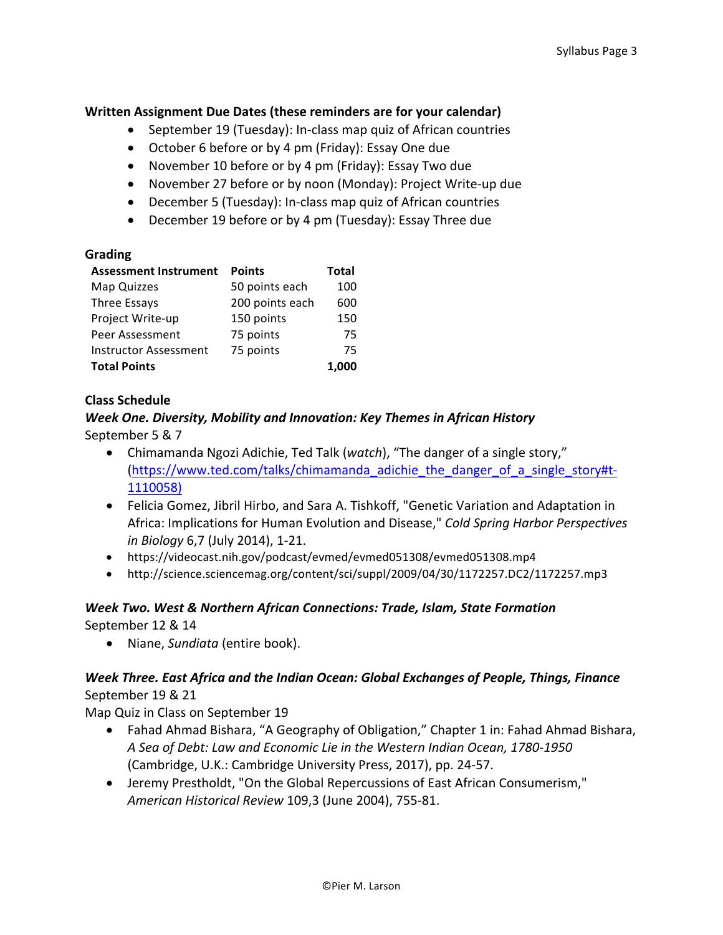#### **Written Assignment Due Dates (these reminders are for your calendar)**

- September 19 (Tuesday): In-class map quiz of African countries
- October 6 before or by 4 pm (Friday): Essay One due
- November 10 before or by 4 pm (Friday): Essay Two due
- November 27 before or by noon (Monday): Project Write-up due
- December 5 (Tuesday): In-class map quiz of African countries
- December 19 before or by 4 pm (Tuesday): Essay Three due

#### **Grading**

| <b>Assessment Instrument</b> | <b>Points</b>   | <b>Total</b> |
|------------------------------|-----------------|--------------|
| Map Quizzes                  | 50 points each  | 100          |
| Three Essays                 | 200 points each | 600          |
| Project Write-up             | 150 points      | 150          |
| Peer Assessment              | 75 points       | 75           |
| <b>Instructor Assessment</b> | 75 points       | 75           |
| <b>Total Points</b>          |                 | 1.000        |

#### **Class Schedule**

#### *Week One. Diversity, Mobility and Innovation: Key Themes in African History* September 5 & 7

- Chimamanda Ngozi Adichie, Ted Talk (*watch*), "The danger of a single story," (https://www.ted.com/talks/chimamanda\_adichie\_the\_danger\_of\_a\_single\_story#t-1110058)
- Felicia Gomez, Jibril Hirbo, and Sara A. Tishkoff, "Genetic Variation and Adaptation in Africa: Implications for Human Evolution and Disease," *Cold Spring Harbor Perspectives in Biology* 6,7 (July 2014), 1-21.
- https://videocast.nih.gov/podcast/evmed/evmed051308/evmed051308.mp4
- http://science.sciencemag.org/content/sci/suppl/2009/04/30/1172257.DC2/1172257.mp3

#### *Week Two. West & Northern African Connections: Trade, Islam, State Formation* September 12 & 14

• Niane, *Sundiata* (entire book).

# *Week Three. East Africa and the Indian Ocean: Global Exchanges of People, Things, Finance* September 19 & 21

Map Quiz in Class on September 19

- Fahad Ahmad Bishara, "A Geography of Obligation," Chapter 1 in: Fahad Ahmad Bishara, *A Sea of Debt: Law and Economic Lie in the Western Indian Ocean, 1780-1950* (Cambridge, U.K.: Cambridge University Press, 2017), pp. 24-57.
- Jeremy Prestholdt, "On the Global Repercussions of East African Consumerism," *American Historical Review* 109,3 (June 2004), 755-81.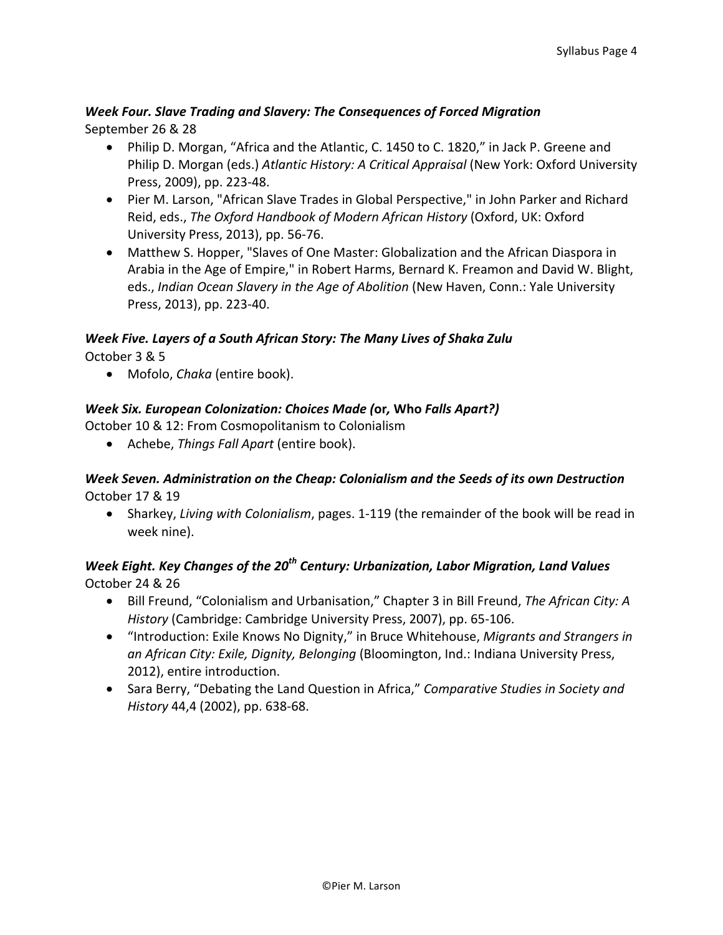### *Week Four. Slave Trading and Slavery: The Consequences of Forced Migration* September 26 & 28

- Philip D. Morgan, "Africa and the Atlantic, C. 1450 to C. 1820," in Jack P. Greene and Philip D. Morgan (eds.) *Atlantic History: A Critical Appraisal* (New York: Oxford University Press, 2009), pp. 223-48.
- Pier M. Larson, "African Slave Trades in Global Perspective," in John Parker and Richard Reid, eds., *The Oxford Handbook of Modern African History* (Oxford, UK: Oxford University Press, 2013), pp. 56-76.
- Matthew S. Hopper, "Slaves of One Master: Globalization and the African Diaspora in Arabia in the Age of Empire," in Robert Harms, Bernard K. Freamon and David W. Blight, eds., Indian Ocean Slavery in the Age of Abolition (New Haven, Conn.: Yale University Press, 2013), pp. 223-40.

#### *Week Five. Layers of a South African Story: The Many Lives of Shaka Zulu*

October 3 & 5

• Mofolo, *Chaka* (entire book).

#### *Week Six. European Colonization: Choices Made (***or***,* **Who** *Falls Apart?)*

October 10 & 12: From Cosmopolitanism to Colonialism

• Achebe, *Things Fall Apart* (entire book).

#### *Week Seven. Administration on the Cheap: Colonialism and the Seeds of its own Destruction* October 17 & 19

• Sharkey, *Living with Colonialism*, pages. 1-119 (the remainder of the book will be read in week nine).

# *Week Eight. Key Changes of the 20<sup>th</sup> Century: Urbanization, Labor Migration, Land Values* October 24 & 26

- Bill Freund, "Colonialism and Urbanisation," Chapter 3 in Bill Freund, *The African City: A History* (Cambridge: Cambridge University Press, 2007), pp. 65-106.
- "Introduction: Exile Knows No Dignity," in Bruce Whitehouse, *Migrants and Strangers in* an African City: Exile, Dignity, Belonging (Bloomington, Ind.: Indiana University Press, 2012), entire introduction.
- Sara Berry, "Debating the Land Question in Africa," *Comparative Studies in Society and History* 44,4 (2002), pp. 638-68.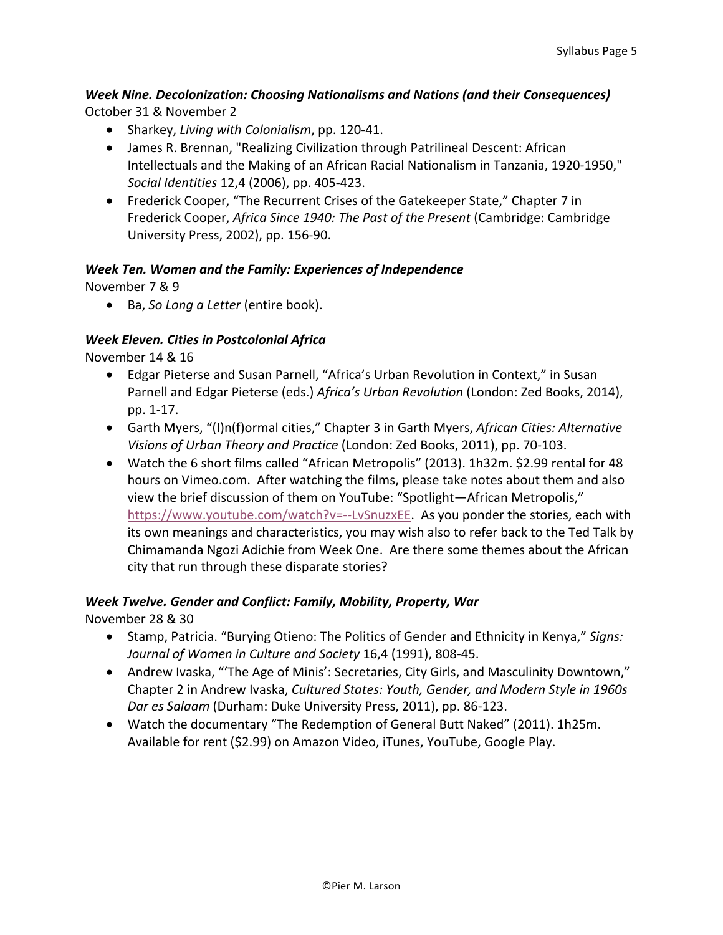# *Week Nine. Decolonization: Choosing Nationalisms and Nations (and their Consequences)* October 31 & November 2

- Sharkey, *Living with Colonialism*, pp. 120-41.
- James R. Brennan, "Realizing Civilization through Patrilineal Descent: African Intellectuals and the Making of an African Racial Nationalism in Tanzania, 1920-1950," *Social Identities* 12,4 (2006), pp. 405-423.
- Frederick Cooper, "The Recurrent Crises of the Gatekeeper State," Chapter 7 in Frederick Cooper, *Africa Since 1940: The Past of the Present* (Cambridge: Cambridge University Press, 2002), pp. 156-90.

# *Week Ten. Women and the Family: Experiences of Independence*

November 7 & 9

• Ba, *So Long a Letter* (entire book).

# *Week Eleven. Cities in Postcolonial Africa*

November 14 & 16

- Edgar Pieterse and Susan Parnell, "Africa's Urban Revolution in Context," in Susan Parnell and Edgar Pieterse (eds.) Africa's Urban Revolution (London: Zed Books, 2014), pp. 1-17.
- Garth Myers, "(I)n(f)ormal cities," Chapter 3 in Garth Myers, African Cities: Alternative *Visions of Urban Theory and Practice* (London: Zed Books, 2011), pp. 70-103.
- Watch the 6 short films called "African Metropolis" (2013). 1h32m. \$2.99 rental for 48 hours on Vimeo.com. After watching the films, please take notes about them and also view the brief discussion of them on YouTube: "Spotlight-African Metropolis," https://www.youtube.com/watch?v=--LvSnuzxEE. As you ponder the stories, each with its own meanings and characteristics, you may wish also to refer back to the Ted Talk by Chimamanda Ngozi Adichie from Week One. Are there some themes about the African city that run through these disparate stories?

# *Week Twelve. Gender and Conflict: Family, Mobility, Property, War*

November 28 & 30

- Stamp, Patricia. "Burying Otieno: The Politics of Gender and Ethnicity in Kenya," Signs: *Journal of Women in Culture and Society* 16,4 (1991), 808-45.
- Andrew Ivaska, "'The Age of Minis': Secretaries, City Girls, and Masculinity Downtown," Chapter 2 in Andrew Ivaska, *Cultured States: Youth, Gender, and Modern Style in 1960s Dar es Salaam* (Durham: Duke University Press, 2011), pp. 86-123.
- Watch the documentary "The Redemption of General Butt Naked" (2011). 1h25m. Available for rent (\$2.99) on Amazon Video, iTunes, YouTube, Google Play.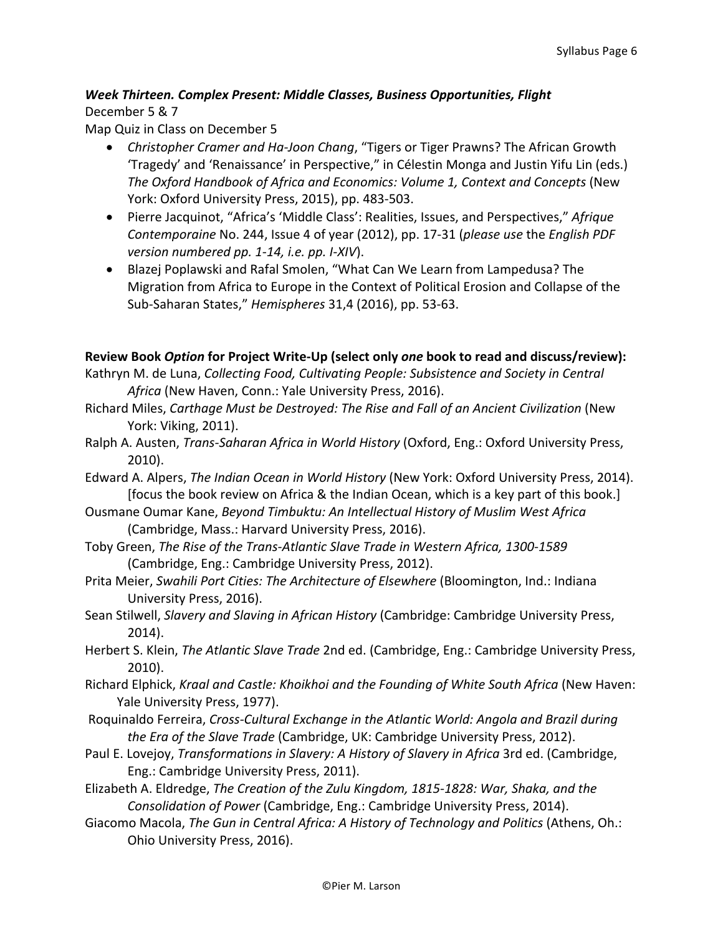# *Week Thirteen. Complex Present: Middle Classes, Business Opportunities, Flight* December 5 & 7

Map Quiz in Class on December 5

- *Christopher Cramer and Ha-Joon Chang*, "Tigers or Tiger Prawns? The African Growth 'Tragedy' and 'Renaissance' in Perspective," in Célestin Monga and Justin Yifu Lin (eds.) *The Oxford Handbook of Africa and Economics: Volume 1, Context and Concepts* (New York: Oxford University Press, 2015), pp. 483-503.
- Pierre Jacquinot, "Africa's 'Middle Class': Realities, Issues, and Perspectives," Afrique *Contemporaine* No. 244, Issue 4 of year (2012), pp. 17-31 (*please use the English PDF version numbered pp. 1-14, i.e. pp. I-XIV*).
- Blazej Poplawski and Rafal Smolen, "What Can We Learn from Lampedusa? The Migration from Africa to Europe in the Context of Political Erosion and Collapse of the Sub-Saharan States," *Hemispheres* 31,4 (2016), pp. 53-63.

#### **Review Book** *Option* **for Project Write-Up (select only** *one* **book to read and discuss/review):**

- Kathryn M. de Luna, *Collecting Food, Cultivating People: Subsistence and Society in Central* Africa (New Haven, Conn.: Yale University Press, 2016).
- Richard Miles, Carthage Must be Destroyed: The Rise and Fall of an Ancient Civilization (New York: Viking, 2011).
- Ralph A. Austen, *Trans-Saharan Africa in World History* (Oxford, Eng.: Oxford University Press, 2010).
- Edward A. Alpers, *The Indian Ocean in World History* (New York: Oxford University Press, 2014). [focus the book review on Africa & the Indian Ocean, which is a key part of this book.]
- Ousmane Oumar Kane, *Beyond Timbuktu: An Intellectual History of Muslim West Africa* (Cambridge, Mass.: Harvard University Press, 2016).
- Toby Green, *The Rise of the Trans-Atlantic Slave Trade in Western Africa, 1300-1589* (Cambridge, Eng.: Cambridge University Press, 2012).
- Prita Meier, *Swahili Port Cities: The Architecture of Elsewhere* (Bloomington, Ind.: Indiana University Press, 2016).
- Sean Stilwell, *Slavery and Slaving in African History* (Cambridge: Cambridge University Press, 2014).
- Herbert S. Klein, *The Atlantic Slave Trade* 2nd ed. (Cambridge, Eng.: Cambridge University Press, 2010).
- Richard Elphick, *Kraal and Castle: Khoikhoi and the Founding of White South Africa* (New Haven: Yale University Press, 1977).
- Roquinaldo Ferreira, *Cross-Cultural Exchange in the Atlantic World: Angola and Brazil during the Era of the Slave Trade* (Cambridge, UK: Cambridge University Press, 2012).
- Paul E. Lovejoy, *Transformations in Slavery: A History of Slavery in Africa* 3rd ed. (Cambridge, Eng.: Cambridge University Press, 2011).
- Elizabeth A. Eldredge, *The Creation of the Zulu Kingdom, 1815-1828: War, Shaka, and the Consolidation of Power* (Cambridge, Eng.: Cambridge University Press, 2014).
- Giacomo Macola, *The Gun in Central Africa: A History of Technology and Politics* (Athens, Oh.: Ohio University Press, 2016).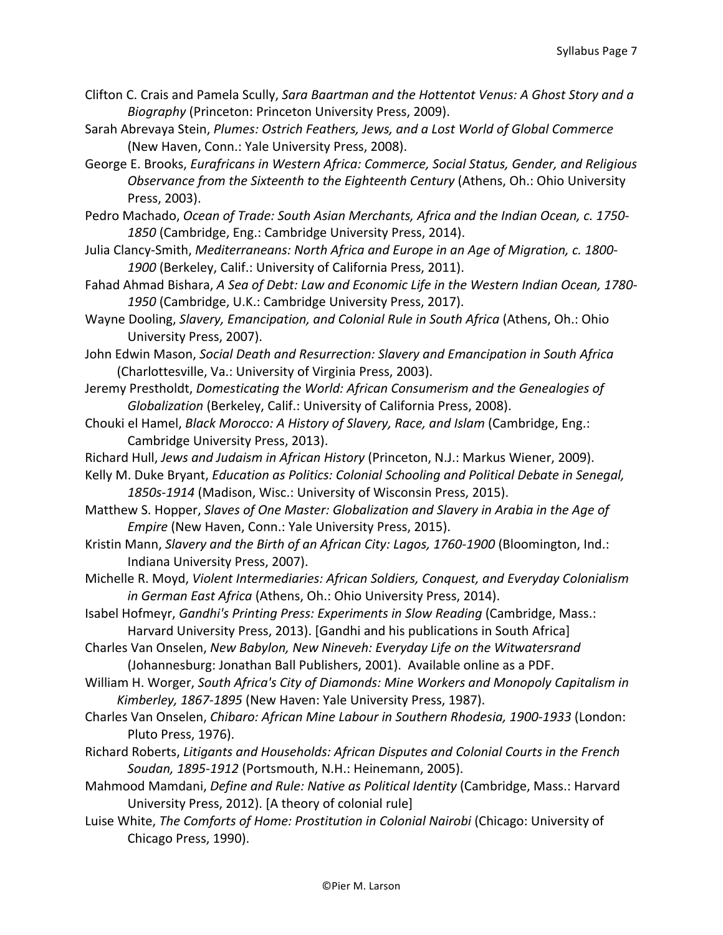- Clifton C. Crais and Pamela Scully, *Sara Baartman and the Hottentot Venus: A Ghost Story and a Biography* (Princeton: Princeton University Press, 2009).
- Sarah Abrevaya Stein, *Plumes: Ostrich Feathers, Jews, and a Lost World of Global Commerce* (New Haven, Conn.: Yale University Press, 2008).
- George E. Brooks, *Eurafricans in Western Africa: Commerce, Social Status, Gender, and Religious Observance from the Sixteenth to the Eighteenth Century* (Athens, Oh.: Ohio University Press, 2003).
- Pedro Machado, *Ocean of Trade: South Asian Merchants, Africa and the Indian Ocean, c.* 1750-1850 (Cambridge, Eng.: Cambridge University Press, 2014).
- Julia Clancy-Smith, *Mediterraneans: North Africa and Europe in an Age of Migration, c. 1800-*1900 (Berkeley, Calif.: University of California Press, 2011).
- Fahad Ahmad Bishara, A Sea of Debt: Law and Economic Life in the Western Indian Ocean, 1780-1950 (Cambridge, U.K.: Cambridge University Press, 2017).
- Wayne Dooling, *Slavery, Emancipation, and Colonial Rule in South Africa* (Athens, Oh.: Ohio University Press, 2007).
- John Edwin Mason, Social Death and Resurrection: Slavery and Emancipation in South Africa (Charlottesville, Va.: University of Virginia Press, 2003).
- Jeremy Prestholdt, *Domesticating the World: African Consumerism and the Genealogies of Globalization* (Berkeley, Calif.: University of California Press, 2008).
- Chouki el Hamel, *Black Morocco: A History of Slavery, Race, and Islam* (Cambridge, Eng.: Cambridge University Press, 2013).
- Richard Hull, *Jews and Judaism in African History* (Princeton, N.J.: Markus Wiener, 2009).
- Kelly M. Duke Bryant, *Education as Politics: Colonial Schooling and Political Debate in Senegal*, 1850s-1914 (Madison, Wisc.: University of Wisconsin Press, 2015).
- Matthew S. Hopper, *Slaves of One Master: Globalization and Slavery in Arabia in the Age of Empire* (New Haven, Conn.: Yale University Press, 2015).
- Kristin Mann, Slavery and the Birth of an African City: Lagos, 1760-1900 (Bloomington, Ind.: Indiana University Press, 2007).
- Michelle R. Moyd, *Violent Intermediaries: African Soldiers, Conquest, and Everyday Colonialism* in German East Africa (Athens, Oh.: Ohio University Press, 2014).
- Isabel Hofmeyr, *Gandhi's Printing Press: Experiments in Slow Reading* (Cambridge, Mass.: Harvard University Press, 2013). [Gandhi and his publications in South Africa]
- Charles Van Onselen, *New Babylon, New Nineveh: Everyday Life on the Witwatersrand* (Johannesburg: Jonathan Ball Publishers, 2001). Available online as a PDF.
- William H. Worger, South Africa's City of Diamonds: Mine Workers and Monopoly Capitalism in Kimberley, 1867-1895 (New Haven: Yale University Press, 1987).
- Charles Van Onselen, *Chibaro: African Mine Labour in Southern Rhodesia, 1900-1933* (London: Pluto Press, 1976).
- Richard Roberts, *Litigants and Households: African Disputes and Colonial Courts in the French* Soudan, 1895-1912 (Portsmouth, N.H.: Heinemann, 2005).
- Mahmood Mamdani, *Define and Rule: Native as Political Identity* (Cambridge, Mass.: Harvard University Press, 2012). [A theory of colonial rule]
- Luise White, *The Comforts of Home: Prostitution in Colonial Nairobi* (Chicago: University of Chicago Press, 1990).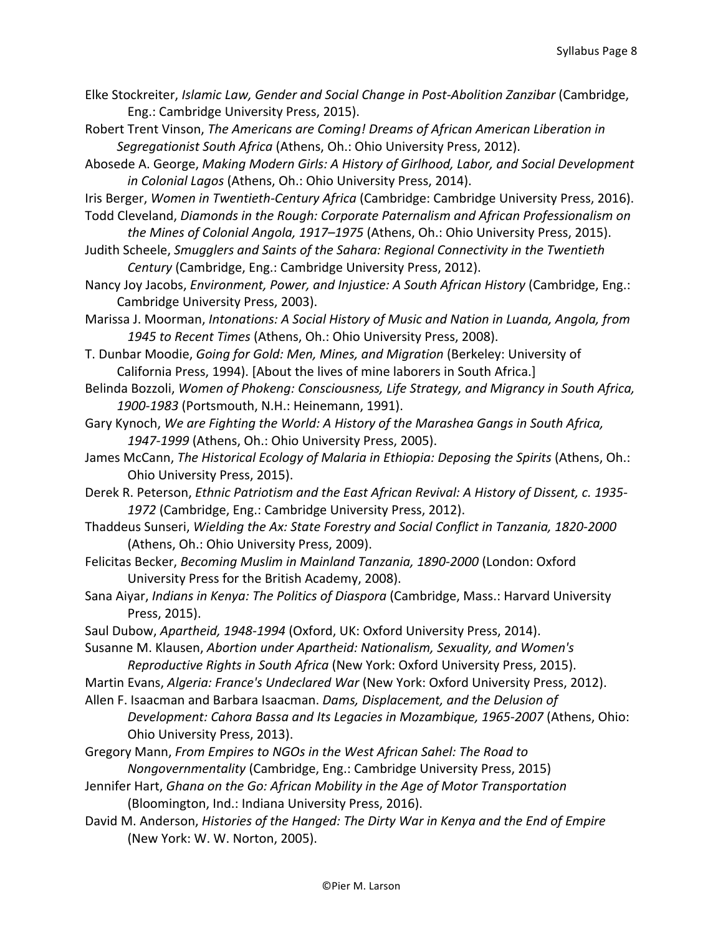- Elke Stockreiter, *Islamic Law, Gender and Social Change in Post-Abolition Zanzibar* (Cambridge, Eng.: Cambridge University Press, 2015).
- Robert Trent Vinson, *The Americans are Coming! Dreams of African American Liberation in Segregationist South Africa* (Athens, Oh.: Ohio University Press, 2012).
- Abosede A. George, *Making Modern Girls: A History of Girlhood, Labor, and Social Development* in Colonial Lagos (Athens, Oh.: Ohio University Press, 2014).
- Iris Berger, Women in Twentieth-Century Africa (Cambridge: Cambridge University Press, 2016).
- Todd Cleveland, *Diamonds in the Rough: Corporate Paternalism and African Professionalism on the Mines of Colonial Angola, 1917–1975* (Athens, Oh.: Ohio University Press, 2015).
- Judith Scheele, *Smugglers and Saints of the Sahara: Regional Connectivity in the Twentieth Century* (Cambridge, Eng.: Cambridge University Press, 2012).
- Nancy Joy Jacobs, *Environment, Power, and Injustice: A South African History* (Cambridge, Eng.: Cambridge University Press, 2003).
- Marissa J. Moorman, *Intonations: A Social History of Music and Nation in Luanda, Angola, from* 1945 to Recent Times (Athens, Oh.: Ohio University Press, 2008).
- T. Dunbar Moodie, *Going for Gold: Men, Mines, and Migration* (Berkeley: University of California Press, 1994). [About the lives of mine laborers in South Africa.]
- Belinda Bozzoli, *Women of Phokeng: Consciousness, Life Strategy, and Migrancy in South Africa,* 1900-1983 (Portsmouth, N.H.: Heinemann, 1991).
- Gary Kynoch, We are Fighting the World: A History of the Marashea Gangs in South Africa, 1947-1999 (Athens, Oh.: Ohio University Press, 2005).
- James McCann, *The Historical Ecology of Malaria in Ethiopia: Deposing the Spirits* (Athens, Oh.: Ohio University Press, 2015).
- Derek R. Peterson, *Ethnic Patriotism and the East African Revival: A History of Dissent, c. 1935-*1972 (Cambridge, Eng.: Cambridge University Press, 2012).
- Thaddeus Sunseri, *Wielding the Ax: State Forestry and Social Conflict in Tanzania, 1820-2000* (Athens, Oh.: Ohio University Press, 2009).
- Felicitas Becker, *Becoming Muslim in Mainland Tanzania, 1890-2000* (London: Oxford University Press for the British Academy, 2008).
- Sana Aiyar, *Indians in Kenya: The Politics of Diaspora* (Cambridge, Mass.: Harvard University Press, 2015).
- Saul Dubow, Apartheid, 1948-1994 (Oxford, UK: Oxford University Press, 2014).
- Susanne M. Klausen, *Abortion under Apartheid: Nationalism, Sexuality, and Women's Reproductive Rights in South Africa* (New York: Oxford University Press, 2015).
- Martin Evans, *Algeria: France's Undeclared War* (New York: Oxford University Press, 2012).
- Allen F. Isaacman and Barbara Isaacman. *Dams, Displacement, and the Delusion of Development: Cahora Bassa and Its Legacies in Mozambique, 1965-2007* (Athens, Ohio: Ohio University Press, 2013).
- Gregory Mann, *From Empires to NGOs in the West African Sahel: The Road to Nongovernmentality* (Cambridge, Eng.: Cambridge University Press, 2015)
- Jennifer Hart, *Ghana on the Go: African Mobility in the Age of Motor Transportation* (Bloomington, Ind.: Indiana University Press, 2016).
- David M. Anderson, *Histories of the Hanged: The Dirty War in Kenya and the End of Empire* (New York: W. W. Norton, 2005).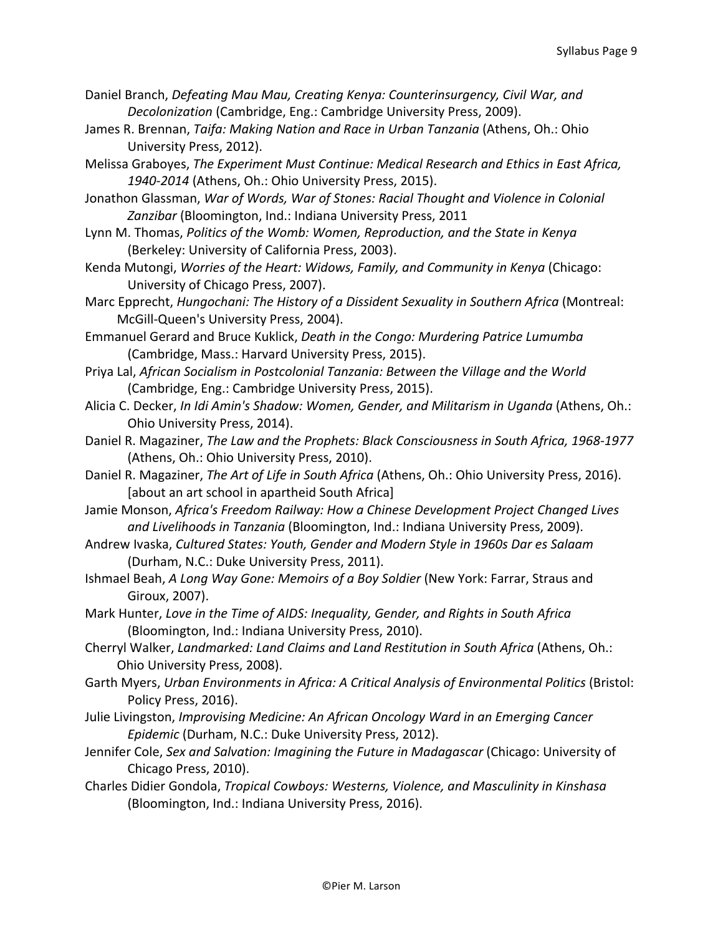- Daniel Branch, *Defeating Mau Mau, Creating Kenya: Counterinsurgency, Civil War, and Decolonization* (Cambridge, Eng.: Cambridge University Press, 2009).
- James R. Brennan, *Taifa: Making Nation and Race in Urban Tanzania* (Athens, Oh.: Ohio University Press, 2012).

Melissa Graboyes, *The Experiment Must Continue: Medical Research and Ethics in East Africa,* 1940-2014 (Athens, Oh.: Ohio University Press, 2015).

Jonathon Glassman, War of Words, War of Stones: Racial Thought and Violence in Colonial Zanzibar (Bloomington, Ind.: Indiana University Press, 2011

Lynn M. Thomas, Politics of the Womb: Women, Reproduction, and the State in Kenya (Berkeley: University of California Press, 2003).

Kenda Mutongi, *Worries of the Heart: Widows, Family, and Community in Kenya* (Chicago: University of Chicago Press, 2007).

Marc Epprecht, *Hungochani: The History of a Dissident Sexuality in Southern Africa* (Montreal: McGill-Queen's University Press, 2004).

Emmanuel Gerard and Bruce Kuklick, *Death in the Congo: Murdering Patrice Lumumba* (Cambridge, Mass.: Harvard University Press, 2015).

Priya Lal, *African Socialism in Postcolonial Tanzania: Between the Village and the World* (Cambridge, Eng.: Cambridge University Press, 2015).

Alicia C. Decker, *In Idi Amin's Shadow: Women, Gender, and Militarism in Uganda* (Athens, Oh.: Ohio University Press, 2014).

Daniel R. Magaziner, *The Law and the Prophets: Black Consciousness in South Africa, 1968-1977* (Athens, Oh.: Ohio University Press, 2010).

Daniel R. Magaziner, *The Art of Life in South Africa* (Athens, Oh.: Ohio University Press, 2016). [about an art school in apartheid South Africa]

Jamie Monson, *Africa's Freedom Railway: How a Chinese Development Project Changed Lives* and Livelihoods in Tanzania (Bloomington, Ind.: Indiana University Press, 2009).

Andrew Ivaska, Cultured States: Youth, Gender and Modern Style in 1960s Dar es Salaam (Durham, N.C.: Duke University Press, 2011).

Ishmael Beah, *A Long Way Gone: Memoirs of a Boy Soldier* (New York: Farrar, Straus and Giroux, 2007).

Mark Hunter, *Love in the Time of AIDS: Inequality, Gender, and Rights in South Africa* (Bloomington, Ind.: Indiana University Press, 2010).

Cherryl Walker, Landmarked: Land Claims and Land Restitution in South Africa (Athens, Oh.: Ohio University Press, 2008).

Garth Myers, Urban Environments in Africa: A Critical Analysis of Environmental Politics (Bristol: Policy Press, 2016).

Julie Livingston, *Improvising Medicine: An African Oncology Ward in an Emerging Cancer Epidemic* (Durham, N.C.: Duke University Press, 2012).

Jennifer Cole, *Sex and Salvation: Imagining the Future in Madagascar* (Chicago: University of Chicago Press, 2010).

Charles Didier Gondola, *Tropical Cowboys: Westerns, Violence, and Masculinity in Kinshasa* (Bloomington, Ind.: Indiana University Press, 2016).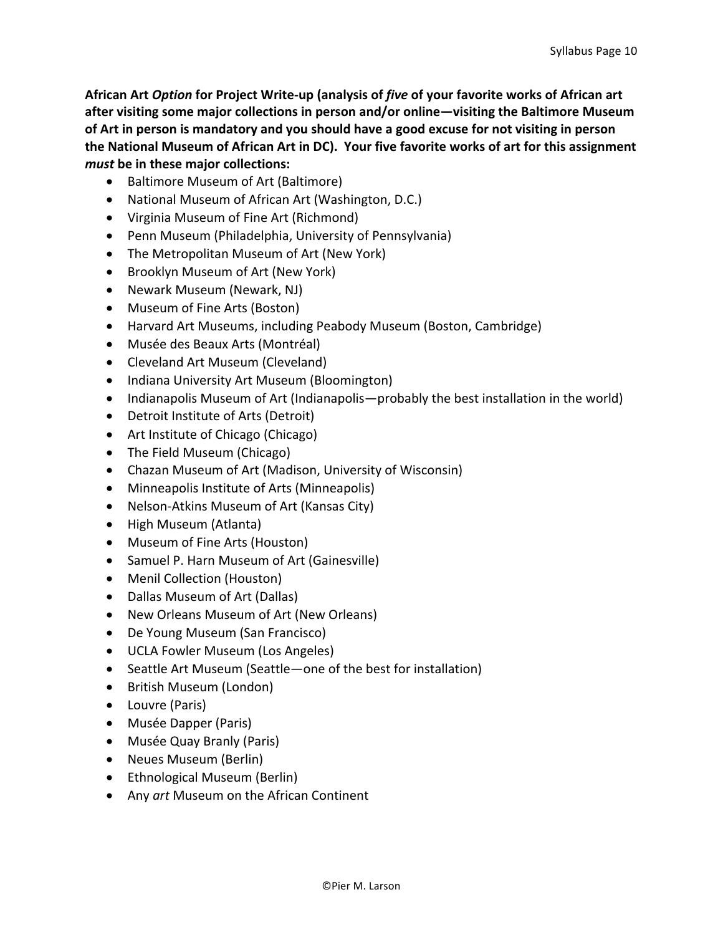**African Art** *Option* **for Project Write-up (analysis of** *five* **of your favorite works of African art**  after visiting some major collections in person and/or online—visiting the Baltimore Museum of Art in person is mandatory and you should have a good excuse for not visiting in person the National Museum of African Art in DC). Your five favorite works of art for this assignment *must* be in these major collections:

- Baltimore Museum of Art (Baltimore)
- National Museum of African Art (Washington, D.C.)
- Virginia Museum of Fine Art (Richmond)
- Penn Museum (Philadelphia, University of Pennsylvania)
- The Metropolitan Museum of Art (New York)
- Brooklyn Museum of Art (New York)
- Newark Museum (Newark, NJ)
- Museum of Fine Arts (Boston)
- Harvard Art Museums, including Peabody Museum (Boston, Cambridge)
- Musée des Beaux Arts (Montréal)
- Cleveland Art Museum (Cleveland)
- Indiana University Art Museum (Bloomington)
- Indianapolis Museum of Art (Indianapolis—probably the best installation in the world)
- Detroit Institute of Arts (Detroit)
- Art Institute of Chicago (Chicago)
- The Field Museum (Chicago)
- Chazan Museum of Art (Madison, University of Wisconsin)
- Minneapolis Institute of Arts (Minneapolis)
- Nelson-Atkins Museum of Art (Kansas City)
- High Museum (Atlanta)
- Museum of Fine Arts (Houston)
- Samuel P. Harn Museum of Art (Gainesville)
- Menil Collection (Houston)
- Dallas Museum of Art (Dallas)
- New Orleans Museum of Art (New Orleans)
- De Young Museum (San Francisco)
- UCLA Fowler Museum (Los Angeles)
- Seattle Art Museum (Seattle—one of the best for installation)
- British Museum (London)
- Louvre (Paris)
- Musée Dapper (Paris)
- Musée Quay Branly (Paris)
- Neues Museum (Berlin)
- Ethnological Museum (Berlin)
- Any *art* Museum on the African Continent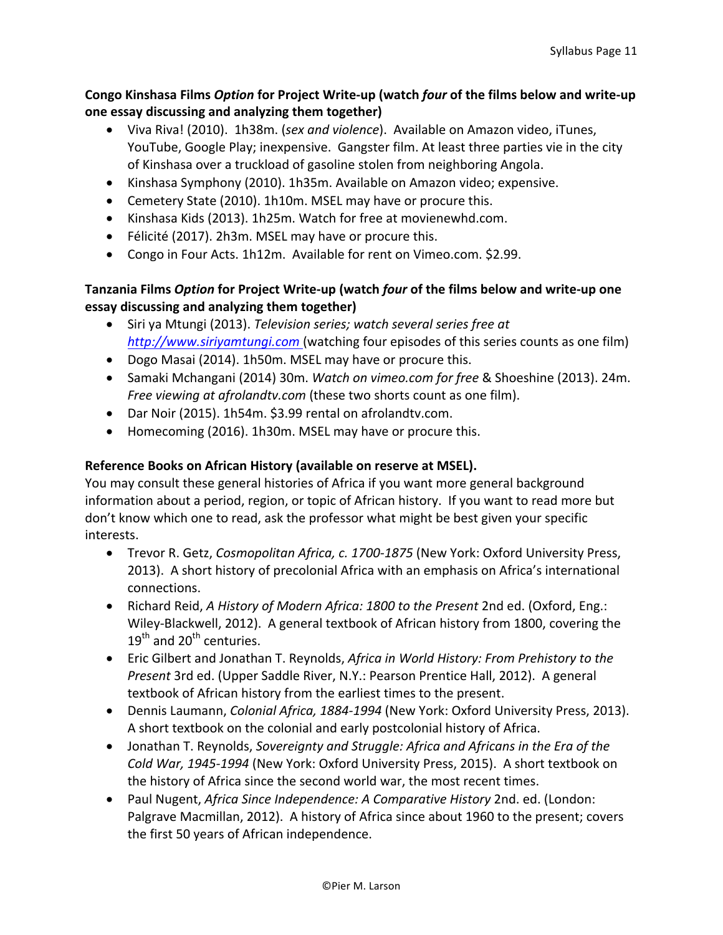# **Congo Kinshasa Films** *Option* **for Project Write-up (watch** *four* **of the films below and write-up one essay discussing and analyzing them together)**

- Viva Riva! (2010). 1h38m. (sex and violence). Available on Amazon video, iTunes, YouTube, Google Play; inexpensive. Gangster film. At least three parties vie in the city of Kinshasa over a truckload of gasoline stolen from neighboring Angola.
- Kinshasa Symphony (2010). 1h35m. Available on Amazon video; expensive.
- Cemetery State (2010). 1h10m. MSEL may have or procure this.
- Kinshasa Kids (2013). 1h25m. Watch for free at movienewhd.com.
- Félicité (2017). 2h3m. MSEL may have or procure this.
- Congo in Four Acts. 1h12m. Available for rent on Vimeo.com. \$2.99.

# **Tanzania Films Option for Project Write-up (watch** *four* **of the films below and write-up one essay discussing and analyzing them together)**

- Siri ya Mtungi (2013). *Television series; watch several series free at http://www.siriyamtungi.com* (watching four episodes of this series counts as one film)
- Dogo Masai (2014). 1h50m. MSEL may have or procure this.
- Samaki Mchangani (2014) 30m. *Watch on vimeo.com for free* & Shoeshine (2013). 24m. *Free viewing at afrolandtv.com* (these two shorts count as one film).
- Dar Noir (2015). 1h54m. \$3.99 rental on afrolandtv.com.
- Homecoming (2016). 1h30m. MSEL may have or procure this.

# **Reference Books on African History (available on reserve at MSEL).**

You may consult these general histories of Africa if you want more general background information about a period, region, or topic of African history. If you want to read more but don't know which one to read, ask the professor what might be best given your specific interests.

- Trevor R. Getz, *Cosmopolitan Africa, c. 1700-1875* (New York: Oxford University Press, 2013). A short history of precolonial Africa with an emphasis on Africa's international connections.
- Richard Reid, *A History of Modern Africa: 1800 to the Present* 2nd ed. (Oxford, Eng.: Wiley-Blackwell, 2012). A general textbook of African history from 1800, covering the  $19<sup>th</sup>$  and  $20<sup>th</sup>$  centuries.
- Eric Gilbert and Jonathan T. Reynolds, *Africa in World History: From Prehistory to the Present* 3rd ed. (Upper Saddle River, N.Y.: Pearson Prentice Hall, 2012). A general textbook of African history from the earliest times to the present.
- Dennis Laumann, *Colonial Africa, 1884-1994* (New York: Oxford University Press, 2013). A short textbook on the colonial and early postcolonial history of Africa.
- Jonathan T. Reynolds, *Sovereignty and Struggle: Africa and Africans in the Era of the Cold War, 1945-1994* (New York: Oxford University Press, 2015). A short textbook on the history of Africa since the second world war, the most recent times.
- Paul Nugent, *Africa Since Independence: A Comparative History* 2nd. ed. (London: Palgrave Macmillan, 2012). A history of Africa since about 1960 to the present; covers the first 50 years of African independence.